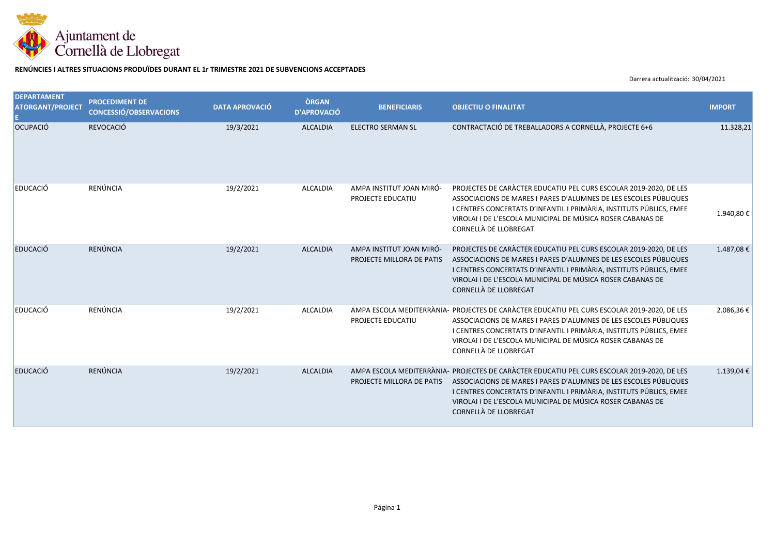

## **RENÚNCIES I ALTRES SITUACIONS PRODUÏDES DURANT EL 1r TRIMESTRE 2021 DE SUBVENCIONS ACCEPTADES**

Darrera actualització: 30/04/2021

| <b>DEPARTAMENT</b><br><b>ATORGANT/PROJECT</b> | <b>PROCEDIMENT DE</b><br><b>CONCESSIÓ/OBSERVACIONS</b> | <b>DATA APROVACIÓ</b> | <b>ÒRGAN</b><br><b>D'APROVACIÓ</b> | <b>BENEFICIARIS</b>                                   | <b>OBJECTIU O FINALITAT</b>                                                                                                                                                                                                                                                                                                   | <b>IMPORT</b> |
|-----------------------------------------------|--------------------------------------------------------|-----------------------|------------------------------------|-------------------------------------------------------|-------------------------------------------------------------------------------------------------------------------------------------------------------------------------------------------------------------------------------------------------------------------------------------------------------------------------------|---------------|
| OCUPACIÓ                                      | <b>REVOCACIÓ</b>                                       | 19/3/2021             | <b>ALCALDIA</b>                    | <b>ELECTRO SERMAN SL</b>                              | CONTRACTACIÓ DE TREBALLADORS A CORNELLÀ, PROJECTE 6+6                                                                                                                                                                                                                                                                         | 11.328,21     |
| EDUCACIÓ                                      | RENÚNCIA                                               | 19/2/2021             | ALCALDIA                           | AMPA INSTITUT JOAN MIRÓ-<br>PROJECTE EDUCATIU         | PROJECTES DE CARACTER EDUCATIU PEL CURS ESCOLAR 2019-2020, DE LES<br>ASSOCIACIONS DE MARES I PARES D'ALUMNES DE LES ESCOLES PÚBLIQUES<br>I CENTRES CONCERTATS D'INFANTIL I PRIMÀRIA, INSTITUTS PÚBLICS, EMEE<br>VIROLAI I DE L'ESCOLA MUNICIPAL DE MÚSICA ROSER CABANAS DE<br>CORNELLÀ DE LLOBREGAT                           | 1.940,80€     |
| EDUCACIÓ                                      | <b>RENÚNCIA</b>                                        | 19/2/2021             | <b>ALCALDIA</b>                    | AMPA INSTITUT JOAN MIRÓ-<br>PROJECTE MILLORA DE PATIS | PROJECTES DE CARÀCTER EDUCATIU PEL CURS ESCOLAR 2019-2020, DE LES<br>ASSOCIACIONS DE MARES I PARES D'ALUMNES DE LES ESCOLES PÚBLIQUES<br>I CENTRES CONCERTATS D'INFANTIL I PRIMÀRIA, INSTITUTS PÚBLICS, EMEE<br>VIROLAI I DE L'ESCOLA MUNICIPAL DE MÚSICA ROSER CABANAS DE<br>CORNELLÀ DE LLOBREGAT                           | 1.487,08€     |
| EDUCACIÓ                                      | RENÚNCIA                                               | 19/2/2021             | ALCALDIA                           | PROJECTE EDUCATIU                                     | AMPA ESCOLA MEDITERRÀNIA- PROJECTES DE CARÀCTER EDUCATIU PEL CURS ESCOLAR 2019-2020, DE LES<br>ASSOCIACIONS DE MARES I PARES D'ALUMNES DE LES ESCOLES PÚBLIQUES<br>I CENTRES CONCERTATS D'INFANTIL I PRIMÀRIA, INSTITUTS PÚBLICS, EMEE<br>VIROLAI I DE L'ESCOLA MUNICIPAL DE MÚSICA ROSER CABANAS DE<br>CORNELLÀ DE LLOBREGAT | 2.086,36€     |
| EDUCACIÓ                                      | <b>RENÚNCIA</b>                                        | 19/2/2021             | <b>ALCALDIA</b>                    | PROJECTE MILLORA DE PATIS                             | AMPA ESCOLA MEDITERRÀNIA- PROJECTES DE CARÀCTER EDUCATIU PEL CURS ESCOLAR 2019-2020, DE LES<br>ASSOCIACIONS DE MARES I PARES D'ALUMNES DE LES ESCOLES PÚBLIQUES<br>I CENTRES CONCERTATS D'INFANTIL I PRIMÀRIA, INSTITUTS PÚBLICS, EMEE<br>VIROLAI I DE L'ESCOLA MUNICIPAL DE MÚSICA ROSER CABANAS DE<br>CORNELLÀ DE LLOBREGAT | 1.139,04€     |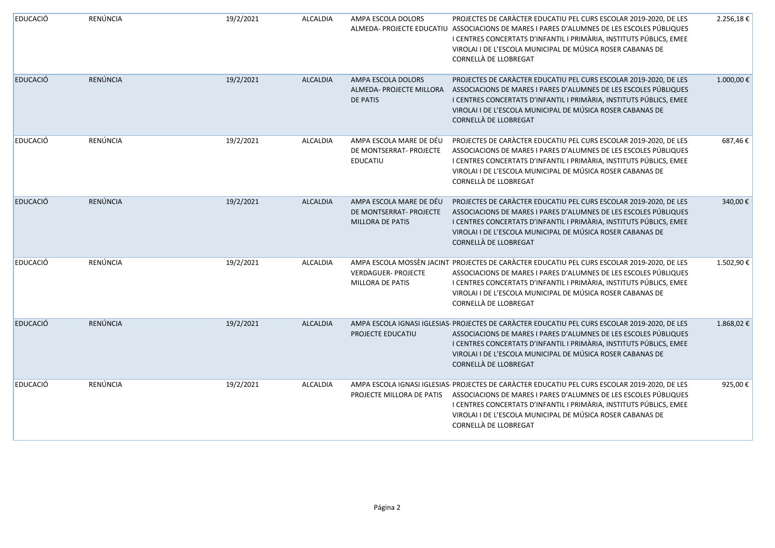| <b>EDUCACIÓ</b> | RENÚNCIA        | 19/2/2021 | <b>ALCALDIA</b> | AMPA ESCOLA DOLORS                                                            | PROJECTES DE CARÀCTER EDUCATIU PEL CURS ESCOLAR 2019-2020, DE LES<br>ALMEDA- PROJECTE EDUCATIU ASSOCIACIONS DE MARES I PARES D'ALUMNES DE LES ESCOLES PÚBLIQUES<br>I CENTRES CONCERTATS D'INFANTIL I PRIMÀRIA, INSTITUTS PÚBLICS, EMEE<br>VIROLAI I DE L'ESCOLA MUNICIPAL DE MÚSICA ROSER CABANAS DE<br>CORNELLÀ DE LLOBREGAT                              | 2.256,18€ |
|-----------------|-----------------|-----------|-----------------|-------------------------------------------------------------------------------|------------------------------------------------------------------------------------------------------------------------------------------------------------------------------------------------------------------------------------------------------------------------------------------------------------------------------------------------------------|-----------|
| <b>EDUCACIÓ</b> | RENÚNCIA        | 19/2/2021 | <b>ALCALDIA</b> | AMPA ESCOLA DOLORS<br>ALMEDA- PROJECTE MILLORA<br><b>DE PATIS</b>             | PROJECTES DE CARÀCTER EDUCATIU PEL CURS ESCOLAR 2019-2020, DE LES<br>ASSOCIACIONS DE MARES I PARES D'ALUMNES DE LES ESCOLES PÚBLIQUES<br>I CENTRES CONCERTATS D'INFANTIL I PRIMÀRIA, INSTITUTS PÚBLICS, EMEE<br>VIROLAI I DE L'ESCOLA MUNICIPAL DE MÚSICA ROSER CABANAS DE<br>CORNELLÀ DE LLOBREGAT                                                        | 1.000,00€ |
| <b>EDUCACIÓ</b> | RENÚNCIA        | 19/2/2021 | ALCALDIA        | AMPA ESCOLA MARE DE DÉU<br>DE MONTSERRAT- PROJECTE<br><b>EDUCATIU</b>         | PROJECTES DE CARÀCTER EDUCATIU PEL CURS ESCOLAR 2019-2020, DE LES<br>ASSOCIACIONS DE MARES I PARES D'ALUMNES DE LES ESCOLES PÚBLIQUES<br>I CENTRES CONCERTATS D'INFANTIL I PRIMÀRIA, INSTITUTS PÚBLICS, EMEE<br>VIROLAI I DE L'ESCOLA MUNICIPAL DE MÚSICA ROSER CABANAS DE<br>CORNELLÀ DE LLOBREGAT                                                        | 687,46€   |
| <b>EDUCACIÓ</b> | <b>RENÚNCIA</b> | 19/2/2021 | <b>ALCALDIA</b> | AMPA ESCOLA MARE DE DÉU<br>DE MONTSERRAT- PROJECTE<br><b>MILLORA DE PATIS</b> | PROJECTES DE CARÀCTER EDUCATIU PEL CURS ESCOLAR 2019-2020, DE LES<br>ASSOCIACIONS DE MARES I PARES D'ALUMNES DE LES ESCOLES PÚBLIQUES<br>I CENTRES CONCERTATS D'INFANTIL I PRIMÀRIA, INSTITUTS PÚBLICS, EMEE<br>VIROLAI I DE L'ESCOLA MUNICIPAL DE MÚSICA ROSER CABANAS DE<br>CORNELLÀ DE LLOBREGAT                                                        | 340,00€   |
| <b>EDUCACIÓ</b> | RENÚNCIA        | 19/2/2021 | ALCALDIA        | <b>VERDAGUER- PROJECTE</b><br><b>MILLORA DE PATIS</b>                         | AMPA ESCOLA MOSSÈN JACINT PROJECTES DE CARÀCTER EDUCATIU PEL CURS ESCOLAR 2019-2020, DE LES<br>ASSOCIACIONS DE MARES I PARES D'ALUMNES DE LES ESCOLES PÚBLIQUES<br>I CENTRES CONCERTATS D'INFANTIL I PRIMÀRIA, INSTITUTS PÚBLICS, EMEE<br>VIROLAI I DE L'ESCOLA MUNICIPAL DE MÚSICA ROSER CABANAS DE<br>CORNELLÀ DE LLOBREGAT                              | 1.502,90€ |
| <b>EDUCACIÓ</b> | RENÚNCIA        | 19/2/2021 | <b>ALCALDIA</b> | PROJECTE EDUCATIU                                                             | AMPA ESCOLA IGNASI IGLESIAS- PROJECTES DE CARÀCTER EDUCATIU PEL CURS ESCOLAR 2019-2020, DE LES<br>ASSOCIACIONS DE MARES I PARES D'ALUMNES DE LES ESCOLES PÚBLIQUES<br>I CENTRES CONCERTATS D'INFANTIL I PRIMÀRIA, INSTITUTS PÚBLICS, EMEE<br>VIROLAI I DE L'ESCOLA MUNICIPAL DE MÚSICA ROSER CABANAS DE<br>CORNELLÀ DE LLOBREGAT                           | 1.868,02€ |
| <b>EDUCACIÓ</b> | RENÚNCIA        | 19/2/2021 | ALCALDIA        |                                                                               | AMPA ESCOLA IGNASI IGLESIAS- PROJECTES DE CARÀCTER EDUCATIU PEL CURS ESCOLAR 2019-2020, DE LES<br>PROJECTE MILLORA DE PATIS ASSOCIACIONS DE MARES I PARES D'ALUMNES DE LES ESCOLES PÚBLIQUES<br>I CENTRES CONCERTATS D'INFANTIL I PRIMÀRIA, INSTITUTS PÚBLICS, EMEE<br>VIROLAI I DE L'ESCOLA MUNICIPAL DE MÚSICA ROSER CABANAS DE<br>CORNELLÀ DE LLOBREGAT | 925,00€   |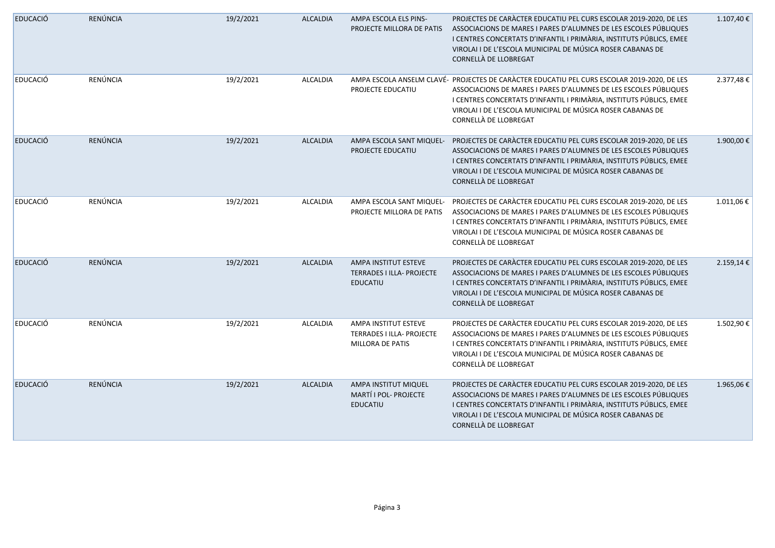| <b>EDUCACIÓ</b> | RENÚNCIA        | 19/2/2021 | <b>ALCALDIA</b> | AMPA ESCOLA ELS PINS-<br>PROJECTE MILLORA DE PATIS                    | PROJECTES DE CARÀCTER EDUCATIU PEL CURS ESCOLAR 2019-2020, DE LES<br>ASSOCIACIONS DE MARES I PARES D'ALUMNES DE LES ESCOLES PÚBLIQUES<br>I CENTRES CONCERTATS D'INFANTIL I PRIMÀRIA, INSTITUTS PÚBLICS, EMEE<br>VIROLAI I DE L'ESCOLA MUNICIPAL DE MÚSICA ROSER CABANAS DE<br>CORNELLÀ DE LLOBREGAT                           | 1.107,40€ |
|-----------------|-----------------|-----------|-----------------|-----------------------------------------------------------------------|-------------------------------------------------------------------------------------------------------------------------------------------------------------------------------------------------------------------------------------------------------------------------------------------------------------------------------|-----------|
| <b>EDUCACIÓ</b> | RENÚNCIA        | 19/2/2021 | ALCALDIA        | PROJECTE EDUCATIU                                                     | AMPA ESCOLA ANSELM CLAVÉ- PROJECTES DE CARÀCTER EDUCATIU PEL CURS ESCOLAR 2019-2020, DE LES<br>ASSOCIACIONS DE MARES I PARES D'ALUMNES DE LES ESCOLES PÚBLIQUES<br>I CENTRES CONCERTATS D'INFANTIL I PRIMÀRIA, INSTITUTS PÚBLICS, EMEE<br>VIROLAI I DE L'ESCOLA MUNICIPAL DE MÚSICA ROSER CABANAS DE<br>CORNELLÀ DE LLOBREGAT | 2.377,48€ |
| <b>EDUCACIÓ</b> | RENÚNCIA        | 19/2/2021 | <b>ALCALDIA</b> | AMPA ESCOLA SANT MIQUEL-<br>PROJECTE EDUCATIU                         | PROJECTES DE CARÀCTER EDUCATIU PEL CURS ESCOLAR 2019-2020, DE LES<br>ASSOCIACIONS DE MARES I PARES D'ALUMNES DE LES ESCOLES PÚBLIQUES<br>I CENTRES CONCERTATS D'INFANTIL I PRIMÀRIA, INSTITUTS PÚBLICS, EMEE<br>VIROLAI I DE L'ESCOLA MUNICIPAL DE MÚSICA ROSER CABANAS DE<br>CORNELLÀ DE LLOBREGAT                           | 1.900,00€ |
| <b>EDUCACIÓ</b> | RENÚNCIA        | 19/2/2021 | ALCALDIA        | AMPA ESCOLA SANT MIQUEL-<br>PROJECTE MILLORA DE PATIS                 | PROJECTES DE CARÀCTER EDUCATIU PEL CURS ESCOLAR 2019-2020, DE LES<br>ASSOCIACIONS DE MARES I PARES D'ALUMNES DE LES ESCOLES PÚBLIQUES<br>I CENTRES CONCERTATS D'INFANTIL I PRIMÀRIA, INSTITUTS PÚBLICS, EMEE<br>VIROLAI I DE L'ESCOLA MUNICIPAL DE MÚSICA ROSER CABANAS DE<br>CORNELLÀ DE LLOBREGAT                           | 1.011,06€ |
| <b>EDUCACIÓ</b> | RENÚNCIA        | 19/2/2021 | <b>ALCALDIA</b> | AMPA INSTITUT ESTEVE<br>TERRADES I ILLA- PROJECTE<br><b>EDUCATIU</b>  | PROJECTES DE CARÀCTER EDUCATIU PEL CURS ESCOLAR 2019-2020, DE LES<br>ASSOCIACIONS DE MARES I PARES D'ALUMNES DE LES ESCOLES PÚBLIQUES<br>I CENTRES CONCERTATS D'INFANTIL I PRIMÀRIA, INSTITUTS PÚBLICS, EMEE<br>VIROLAI I DE L'ESCOLA MUNICIPAL DE MÚSICA ROSER CABANAS DE<br>CORNELLÀ DE LLOBREGAT                           | 2.159,14€ |
| <b>EDUCACIÓ</b> | RENÚNCIA        | 19/2/2021 | ALCALDIA        | AMPA INSTITUT ESTEVE<br>TERRADES I ILLA- PROJECTE<br>MILLORA DE PATIS | PROJECTES DE CARÀCTER EDUCATIU PEL CURS ESCOLAR 2019-2020, DE LES<br>ASSOCIACIONS DE MARES I PARES D'ALUMNES DE LES ESCOLES PÚBLIQUES<br>I CENTRES CONCERTATS D'INFANTIL I PRIMÀRIA, INSTITUTS PÚBLICS, EMEE<br>VIROLAI I DE L'ESCOLA MUNICIPAL DE MÚSICA ROSER CABANAS DE<br>CORNELLÀ DE LLOBREGAT                           | 1.502,90€ |
| <b>EDUCACIÓ</b> | <b>RENÚNCIA</b> | 19/2/2021 | <b>ALCALDIA</b> | AMPA INSTITUT MIQUEL<br>MARTÍ I POL- PROJECTE<br><b>EDUCATIU</b>      | PROJECTES DE CARÀCTER EDUCATIU PEL CURS ESCOLAR 2019-2020, DE LES<br>ASSOCIACIONS DE MARES I PARES D'ALUMNES DE LES ESCOLES PÚBLIQUES<br>I CENTRES CONCERTATS D'INFANTIL I PRIMÀRIA, INSTITUTS PÚBLICS, EMEE<br>VIROLAI I DE L'ESCOLA MUNICIPAL DE MÚSICA ROSER CABANAS DE<br>CORNELLÀ DE LLOBREGAT                           | 1.965,06€ |